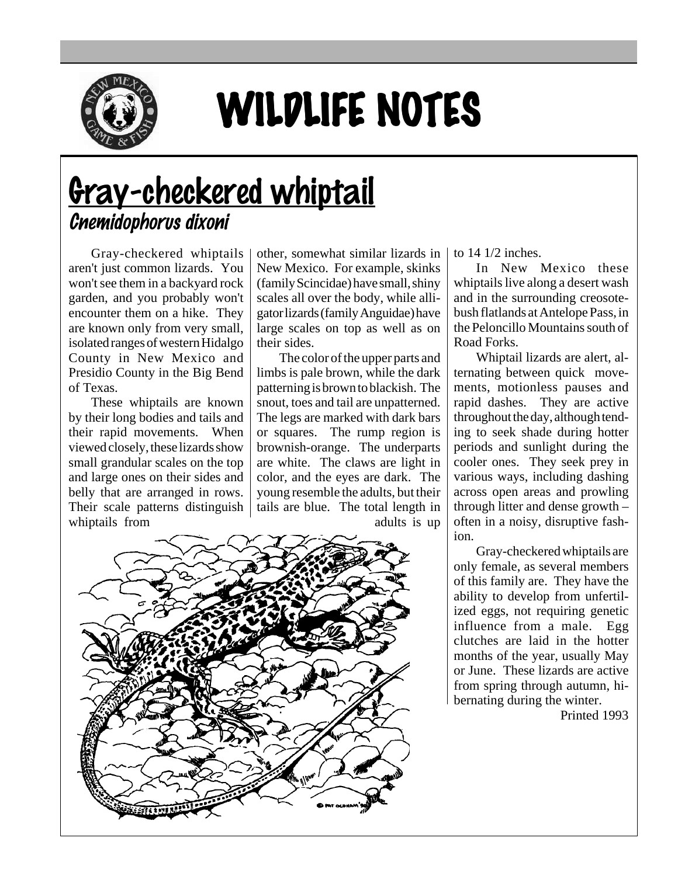

## WILDLIFE NOTES

## Gray-checkered whiptail Cnemidophorus dixoni

Gray-checkered whiptails aren't just common lizards. You won't see them in a backyard rock garden, and you probably won't encounter them on a hike. They are known only from very small, isolated ranges of western Hidalgo County in New Mexico and Presidio County in the Big Bend of Texas.

These whiptails are known by their long bodies and tails and their rapid movements. When viewed closely, these lizards show small grandular scales on the top and large ones on their sides and belly that are arranged in rows. Their scale patterns distinguish whiptails from

other, somewhat similar lizards in New Mexico. For example, skinks (family Scincidae) have small, shiny scales all over the body, while alligator lizards (family Anguidae) have large scales on top as well as on their sides.

The color of the upper parts and limbs is pale brown, while the dark patterning is brown to blackish. The snout, toes and tail are unpatterned. The legs are marked with dark bars or squares. The rump region is brownish-orange. The underparts are white. The claws are light in color, and the eyes are dark. The young resemble the adults, but their tails are blue. The total length in adults is up



to 14 1/2 inches.

In New Mexico these whiptails live along a desert wash and in the surrounding creosotebush flatlands at Antelope Pass, in the Peloncillo Mountains south of Road Forks.

Whiptail lizards are alert, alternating between quick movements, motionless pauses and rapid dashes. They are active throughout the day, although tending to seek shade during hotter periods and sunlight during the cooler ones. They seek prey in various ways, including dashing across open areas and prowling through litter and dense growth – often in a noisy, disruptive fashion.

Gray-checkered whiptails are only female, as several members of this family are. They have the ability to develop from unfertilized eggs, not requiring genetic influence from a male. Egg clutches are laid in the hotter months of the year, usually May or June. These lizards are active from spring through autumn, hibernating during the winter.

Printed 1993